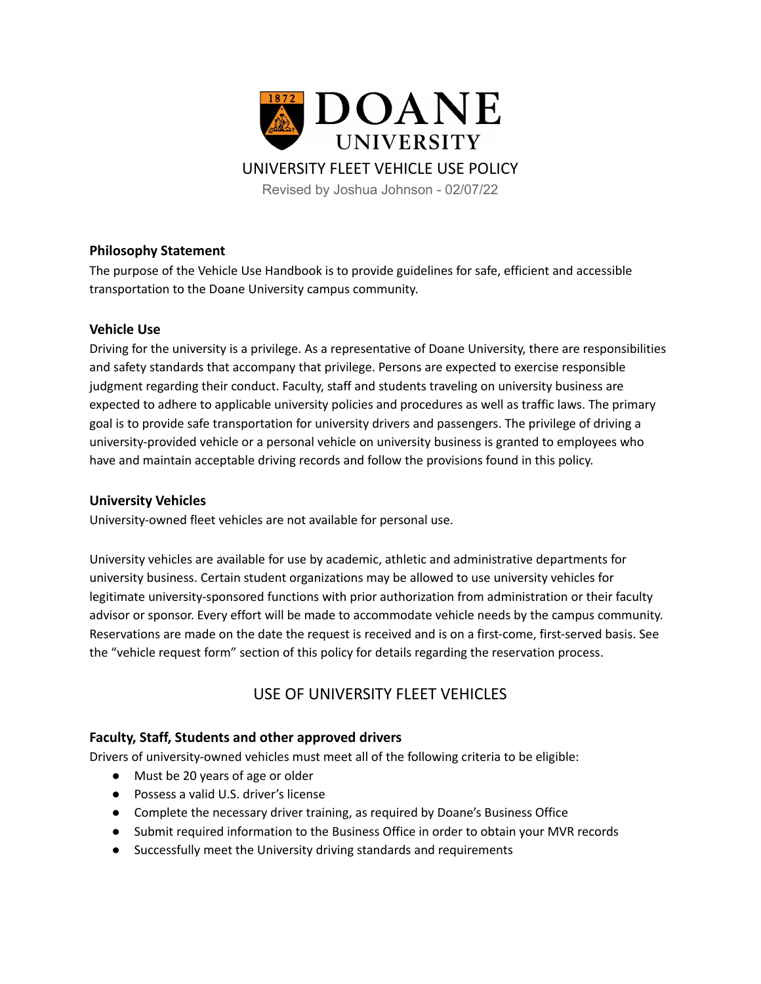

## UNIVERSITY FLEET VEHICLE USE POLICY

Revised by Joshua Johnson - 02/07/22

## **Philosophy Statement**

The purpose of the Vehicle Use Handbook is to provide guidelines for safe, efficient and accessible transportation to the Doane University campus community.

## **Vehicle Use**

Driving for the university is a privilege. As a representative of Doane University, there are responsibilities and safety standards that accompany that privilege. Persons are expected to exercise responsible judgment regarding their conduct. Faculty, staff and students traveling on university business are expected to adhere to applicable university policies and procedures as well as traffic laws. The primary goal is to provide safe transportation for university drivers and passengers. The privilege of driving a university-provided vehicle or a personal vehicle on university business is granted to employees who have and maintain acceptable driving records and follow the provisions found in this policy.

## **University Vehicles**

University-owned fleet vehicles are not available for personal use.

University vehicles are available for use by academic, athletic and administrative departments for university business. Certain student organizations may be allowed to use university vehicles for legitimate university-sponsored functions with prior authorization from administration or their faculty advisor or sponsor. Every effort will be made to accommodate vehicle needs by the campus community. Reservations are made on the date the request is received and is on a first-come, first-served basis. See the "vehicle request form" section of this policy for details regarding the reservation process.

# USE OF UNIVERSITY FLEET VEHICLES

## **Faculty, Staff, Students and other approved drivers**

Drivers of university-owned vehicles must meet all of the following criteria to be eligible:

- Must be 20 years of age or older
- Possess a valid U.S. driver's license
- Complete the necessary driver training, as required by Doane's Business Office
- Submit required information to the Business Office in order to obtain your MVR records
- Successfully meet the University driving standards and requirements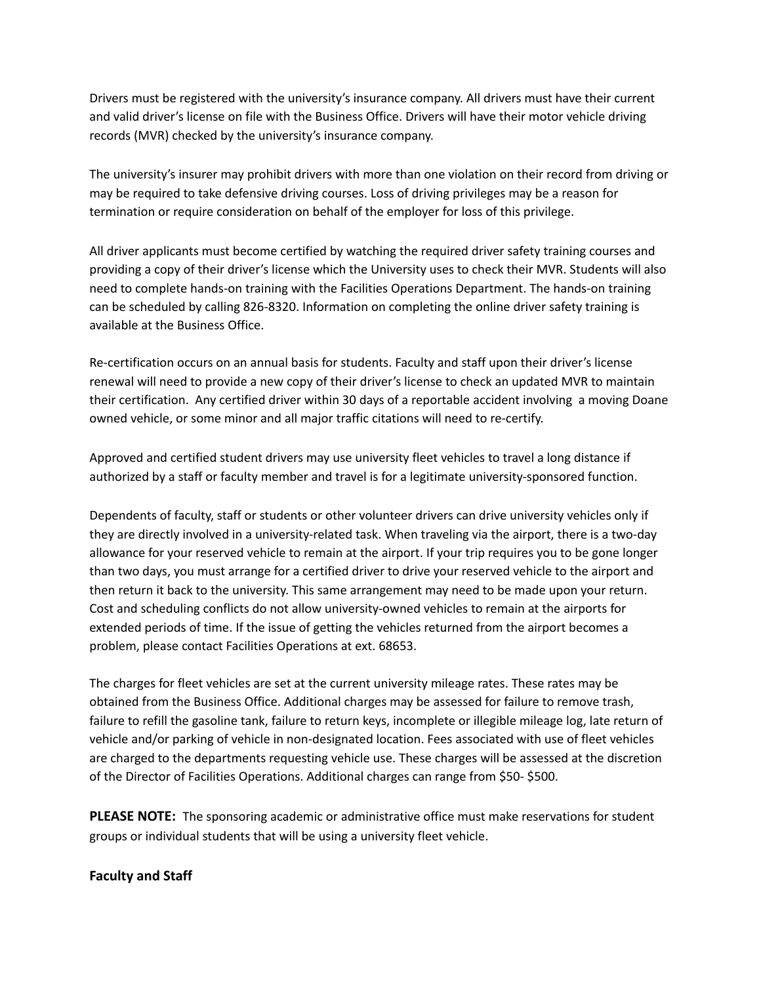Drivers must be registered with the university's insurance company. All drivers must have their current and valid driver's license on file with the Business Office. Drivers will have their motor vehicle driving records (MVR) checked by the university's insurance company.

The university's insurer may prohibit drivers with more than one violation on their record from driving or may be required to take defensive driving courses. Loss of driving privileges may be a reason for termination or require consideration on behalf of the employer for loss of this privilege.

All driver applicants must become certified by watching the required driver safety training courses and providing a copy of their driver's license which the University uses to check their MVR. Students will also need to complete hands-on training with the Facilities Operations Department. The hands-on training can be scheduled by calling 826-8320. Information on completing the online driver safety training is available at the Business Office.

Re-certification occurs on an annual basis for students. Faculty and staff upon their driver's license renewal will need to provide a new copy of their driver's license to check an updated MVR to maintain their certification. Any certified driver within 30 days of a reportable accident involving a moving Doane owned vehicle, or some minor and all major traffic citations will need to re-certify.

Approved and certified student drivers may use university fleet vehicles to travel a long distance if authorized by a staff or faculty member and travel is for a legitimate university-sponsored function.

Dependents of faculty, staff or students or other volunteer drivers can drive university vehicles only if they are directly involved in a university-related task. When traveling via the airport, there is a two-day allowance for your reserved vehicle to remain at the airport. If your trip requires you to be gone longer than two days, you must arrange for a certified driver to drive your reserved vehicle to the airport and then return it back to the university. This same arrangement may need to be made upon your return. Cost and scheduling conflicts do not allow university-owned vehicles to remain at the airports for extended periods of time. If the issue of getting the vehicles returned from the airport becomes a problem, please contact Facilities Operations at ext. 68653.

The charges for fleet vehicles are set at the current university mileage rates. These rates may be obtained from the Business Office. Additional charges may be assessed for failure to remove trash, failure to refill the gasoline tank, failure to return keys, incomplete or illegible mileage log, late return of vehicle and/or parking of vehicle in non-designated location. Fees associated with use of fleet vehicles are charged to the departments requesting vehicle use. These charges will be assessed at the discretion of the Director of Facilities Operations. Additional charges can range from \$50- \$500.

**PLEASE NOTE:** The sponsoring academic or administrative office must make reservations for student groups or individual students that will be using a university fleet vehicle.

## **Faculty and Staff**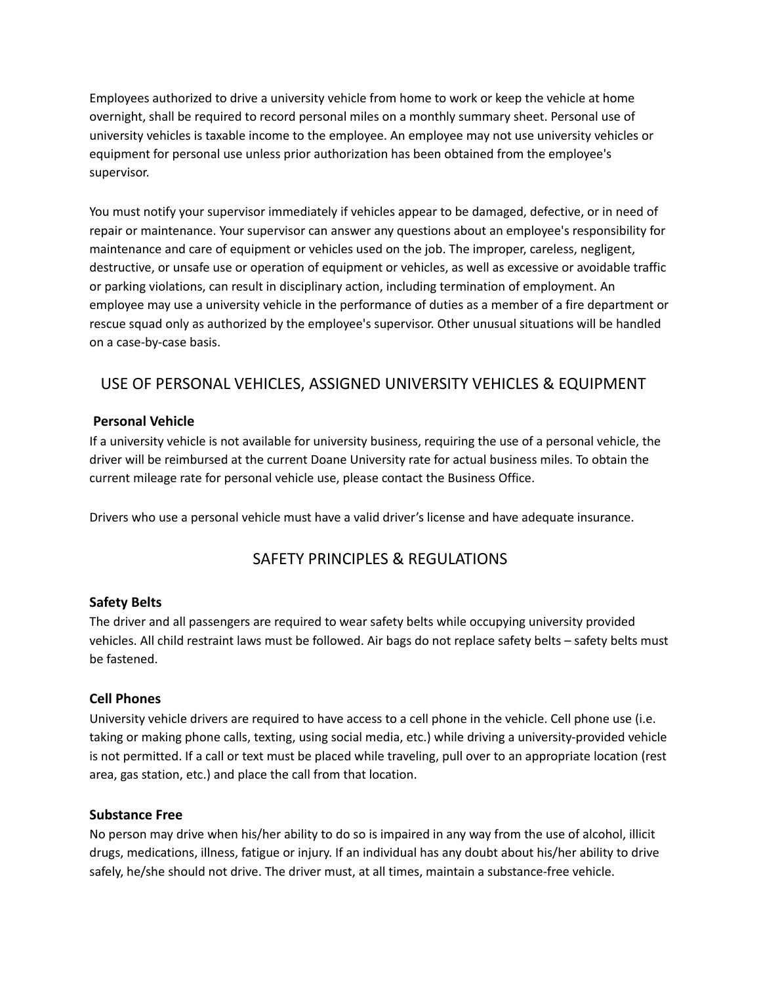Employees authorized to drive a university vehicle from home to work or keep the vehicle at home overnight, shall be required to record personal miles on a monthly summary sheet. Personal use of university vehicles is taxable income to the employee. An employee may not use university vehicles or equipment for personal use unless prior authorization has been obtained from the employee's supervisor.

You must notify your supervisor immediately if vehicles appear to be damaged, defective, or in need of repair or maintenance. Your supervisor can answer any questions about an employee's responsibility for maintenance and care of equipment or vehicles used on the job. The improper, careless, negligent, destructive, or unsafe use or operation of equipment or vehicles, as well as excessive or avoidable traffic or parking violations, can result in disciplinary action, including termination of employment. An employee may use a university vehicle in the performance of duties as a member of a fire department or rescue squad only as authorized by the employee's supervisor. Other unusual situations will be handled on a case-by-case basis.

# USE OF PERSONAL VEHICLES, ASSIGNED UNIVERSITY VEHICLES & EQUIPMENT

## **Personal Vehicle**

If a university vehicle is not available for university business, requiring the use of a personal vehicle, the driver will be reimbursed at the current Doane University rate for actual business miles. To obtain the current mileage rate for personal vehicle use, please contact the Business Office.

Drivers who use a personal vehicle must have a valid driver's license and have adequate insurance.

# SAFETY PRINCIPLES & REGULATIONS

## **Safety Belts**

The driver and all passengers are required to wear safety belts while occupying university provided vehicles. All child restraint laws must be followed. Air bags do not replace safety belts – safety belts must be fastened.

## **Cell Phones**

University vehicle drivers are required to have access to a cell phone in the vehicle. Cell phone use (i.e. taking or making phone calls, texting, using social media, etc.) while driving a university-provided vehicle is not permitted. If a call or text must be placed while traveling, pull over to an appropriate location (rest area, gas station, etc.) and place the call from that location.

## **Substance Free**

No person may drive when his/her ability to do so is impaired in any way from the use of alcohol, illicit drugs, medications, illness, fatigue or injury. If an individual has any doubt about his/her ability to drive safely, he/she should not drive. The driver must, at all times, maintain a substance-free vehicle.